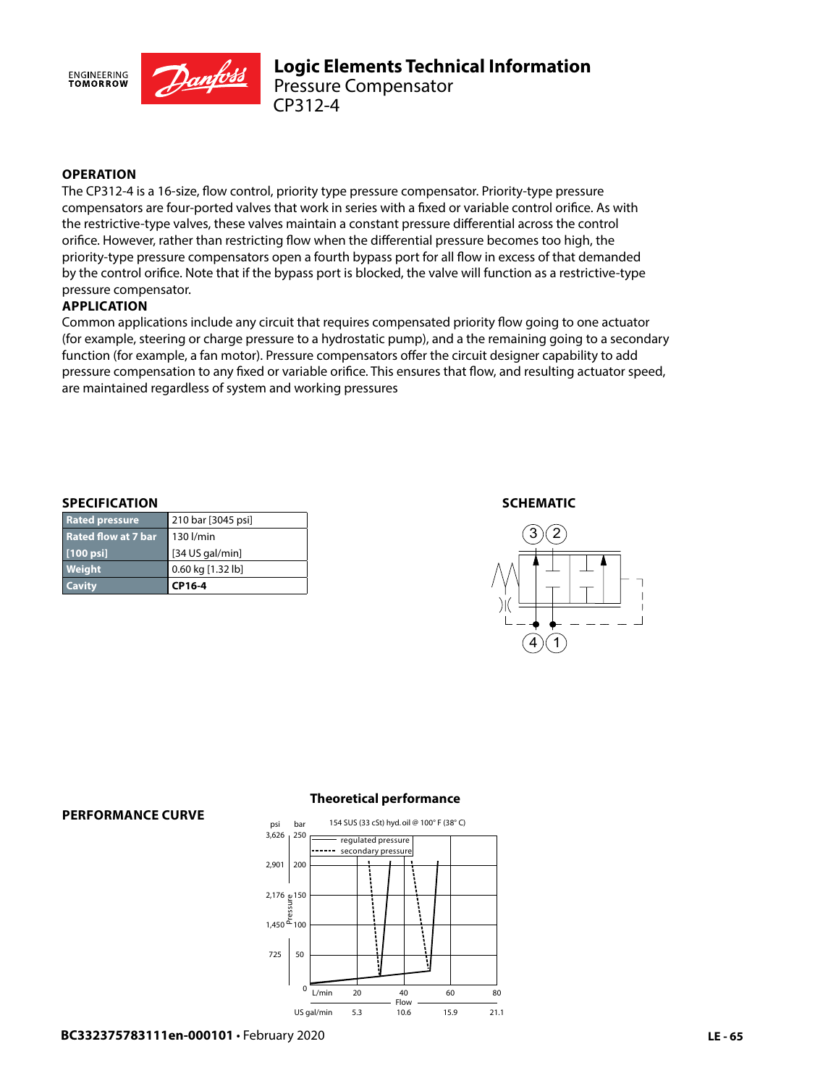

## **OPERATION**

The CP312-4 is a 16-size, flow control, priority type pressure compensator. Priority-type pressure compensators are four-ported valves that work in series with a fixed or variable control orifice. As with the restrictive-type valves, these valves maintain a constant pressure differential across the control orifice. However, rather than restricting flow when the differential pressure becomes too high, the priority-type pressure compensators open a fourth bypass port for all flow in excess of that demanded by the control orifice. Note that if the bypass port is blocked, the valve will function as a restrictive-type pressure compensator.

### **APPLICATION**

Common applications include any circuit that requires compensated priority flow going to one actuator (for example, steering or charge pressure to a hydrostatic pump), and a the remaining going to a secondary function (for example, a fan motor). Pressure compensators offer the circuit designer capability to add pressure compensation to any fixed or variable orifice. This ensures that flow, and resulting actuator speed, are maintained regardless of system and working pressures

#### **SPECIFICATION**

| <b>Cavity</b>              | CP16-4             |
|----------------------------|--------------------|
| <b>Weight</b>              | 0.60 kg [1.32 lb]  |
| $[100 \text{ psi}]$        | $[34$ US gal/min]  |
| <b>Rated flow at 7 bar</b> | $\vert$ 130 l/min  |
| <b>Rated pressure</b>      | 210 bar [3045 psi] |

#### **SCHEMATIC**



#### **PERFORMANCE CURVE**

#### **Theoretical performance**